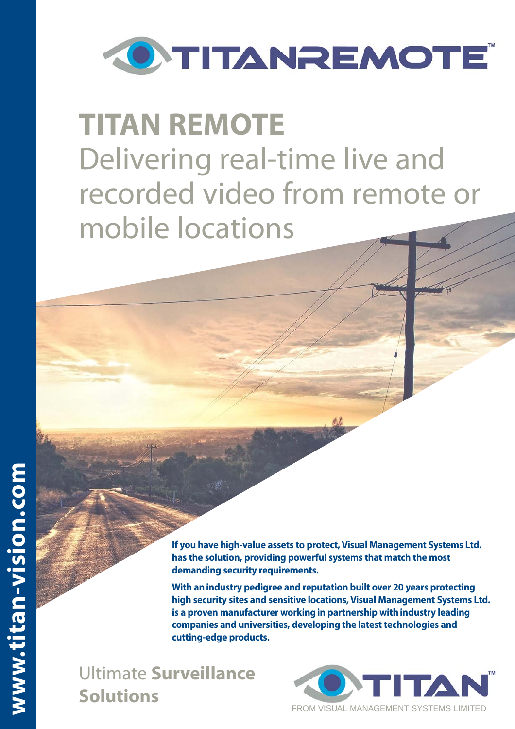

## **TITAN REMOTE** Delivering real-time live and recorded video from remote or mobile locations

**If you have high-value assets to protect, Visual Management Systems Ltd. has the solution, providing powerful systems that match the most demanding security requirements.**

**With an industry pedigree and reputation built over 20 years protecting high security sites and sensitive locations, Visual Management Systems Ltd. is a proven manufacturer working in partnership with industry leading companies and universities, developing the latest technologies and cutting-edge products.** 

Ultimate **Surveillance Solutions**